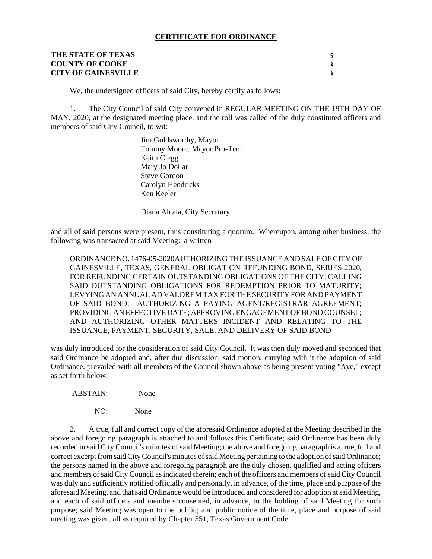#### **CERTIFICATE FOR ORDINANCE**

| THE STATE OF TEXAS         |  |
|----------------------------|--|
| <b>COUNTY OF COOKE</b>     |  |
| <b>CITY OF GAINESVILLE</b> |  |

We, the undersigned officers of said City, hereby certify as follows:

1. The City Council of said City convened in REGULAR MEETING ON THE 19TH DAY OF MAY, 2020, at the designated meeting place, and the roll was called of the duly constituted officers and members of said City Council, to wit:

> Jim Goldsworthy, Mayor Tommy Moore, Mayor Pro-Tem Keith Clegg Mary Jo Dollar Steve Gordon Carolyn Hendricks Ken Keeler

Diana Alcala, City Secretary

and all of said persons were present, thus constituting a quorum. Whereupon, among other business, the following was transacted at said Meeting: a written

ORDINANCE NO. 1476-05-2020AUTHORIZING THE ISSUANCE AND SALE OF CITY OF GAINESVILLE, TEXAS, GENERAL OBLIGATION REFUNDING BOND, SERIES 2020, FOR REFUNDING CERTAIN OUTSTANDING OBLIGATIONS OF THE CITY; CALLING SAID OUTSTANDING OBLIGATIONS FOR REDEMPTION PRIOR TO MATURITY; LEVYING AN ANNUAL AD VALOREM TAX FOR THE SECURITY FOR AND PAYMENT OF SAID BOND; AUTHORIZING A PAYING AGENT/REGISTRAR AGREEMENT; PROVIDING AN EFFECTIVE DATE; APPROVING ENGAGEMENT OF BOND COUNSEL; AND AUTHORIZING OTHER MATTERS INCIDENT AND RELATING TO THE ISSUANCE, PAYMENT, SECURITY, SALE, AND DELIVERY OF SAID BOND

was duly introduced for the consideration of said City Council. It was then duly moved and seconded that said Ordinance be adopted and, after due discussion, said motion, carrying with it the adoption of said Ordinance, prevailed with all members of the Council shown above as being present voting "Aye," except as set forth below:

ABSTAIN: None

NO: None

2. A true, full and correct copy of the aforesaid Ordinance adopted at the Meeting described in the above and foregoing paragraph is attached to and follows this Certificate; said Ordinance has been duly recorded in said City Council's minutes of said Meeting; the above and foregoing paragraph is a true, full and correct excerpt from said City Council's minutes of said Meeting pertaining to the adoption of said Ordinance; the persons named in the above and foregoing paragraph are the duly chosen, qualified and acting officers and members of said City Council as indicated therein; each of the officers and members of said City Council was duly and sufficiently notified officially and personally, in advance, of the time, place and purpose of the aforesaid Meeting, and that said Ordinance would be introduced and considered for adoption at said Meeting, and each of said officers and members consented, in advance, to the holding of said Meeting for such purpose; said Meeting was open to the public; and public notice of the time, place and purpose of said meeting was given, all as required by Chapter 551, Texas Government Code.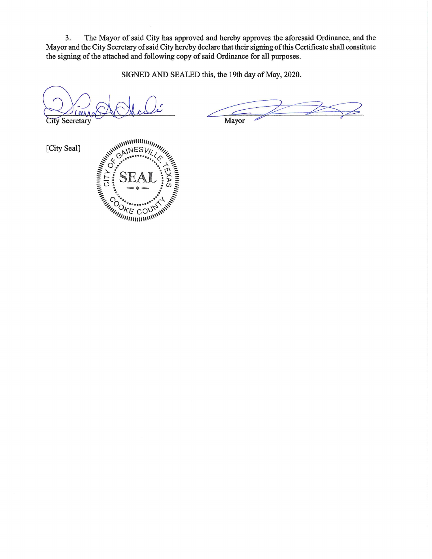3. The Mayor of said City has approved and hereby approves the aforesaid Ordinance, and the Mayor and the City Secretary of said City hereby declare that their signing of this Certificate shall constitute the signing of the attached and following copy of said Ordinance for all purposes.

SIGNED AND SEALED this, the 19th day of May, 2020.

**City Secretary** 

Mayor

[City Seal]

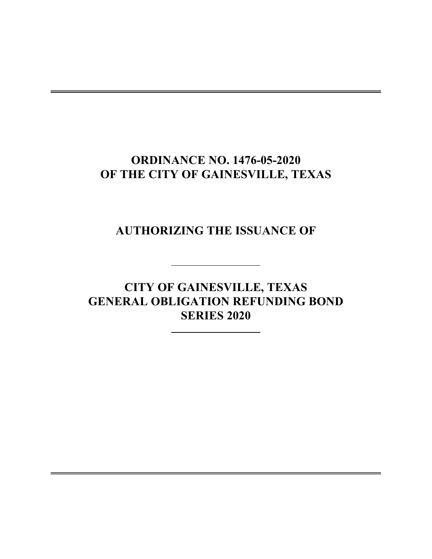# **ORDINANCE NO. 1476-05-2020 OF THE CITY OF GAINESVILLE, TEXAS**

**AUTHORIZING THE ISSUANCE OF**

**CITY OF GAINESVILLE, TEXAS GENERAL OBLIGATION REFUNDING BOND SERIES 2020**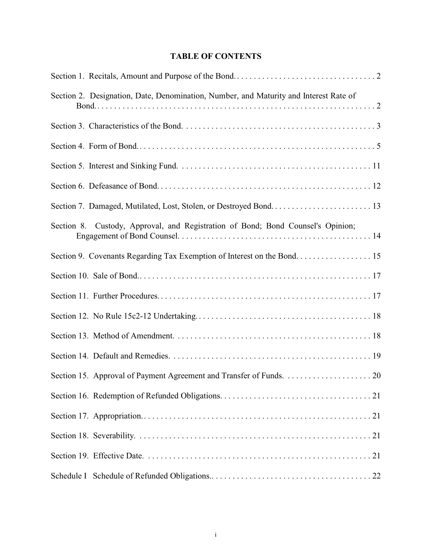## **TABLE OF CONTENTS**

| Section 2. Designation, Date, Denomination, Number, and Maturity and Interest Rate of |
|---------------------------------------------------------------------------------------|
|                                                                                       |
|                                                                                       |
|                                                                                       |
|                                                                                       |
|                                                                                       |
| Section 8. Custody, Approval, and Registration of Bond; Bond Counsel's Opinion;       |
| Section 9. Covenants Regarding Tax Exemption of Interest on the Bond 15               |
|                                                                                       |
|                                                                                       |
|                                                                                       |
|                                                                                       |
|                                                                                       |
|                                                                                       |
|                                                                                       |
|                                                                                       |
|                                                                                       |
|                                                                                       |
|                                                                                       |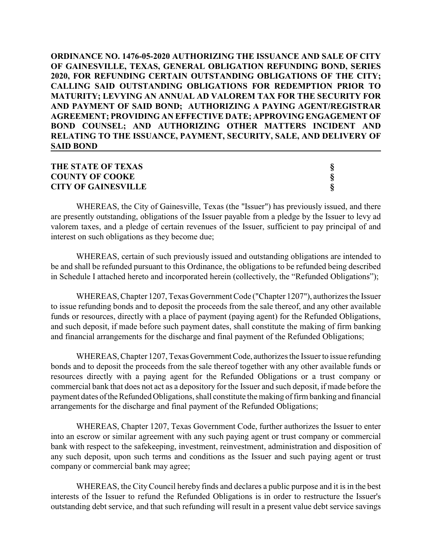**ORDINANCE NO. 1476-05-2020 AUTHORIZING THE ISSUANCE AND SALE OF CITY OF GAINESVILLE, TEXAS, GENERAL OBLIGATION REFUNDING BOND, SERIES 2020, FOR REFUNDING CERTAIN OUTSTANDING OBLIGATIONS OF THE CITY; CALLING SAID OUTSTANDING OBLIGATIONS FOR REDEMPTION PRIOR TO MATURITY; LEVYING AN ANNUAL AD VALOREM TAX FOR THE SECURITY FOR AND PAYMENT OF SAID BOND; AUTHORIZING A PAYING AGENT/REGISTRAR AGREEMENT; PROVIDING AN EFFECTIVE DATE; APPROVING ENGAGEMENT OF BOND COUNSEL; AND AUTHORIZING OTHER MATTERS INCIDENT AND RELATING TO THE ISSUANCE, PAYMENT, SECURITY, SALE, AND DELIVERY OF SAID BOND**

## THE STATE OF TEXAS<br>
COUNTY OF COOKE<br>
S<br>
CITY OF GAINESVILLE **COUNTY OF COOKE § CITY OF GAINESVILLE §**

WHEREAS, the City of Gainesville, Texas (the "Issuer") has previously issued, and there are presently outstanding, obligations of the Issuer payable from a pledge by the Issuer to levy ad valorem taxes, and a pledge of certain revenues of the Issuer, sufficient to pay principal of and interest on such obligations as they become due;

WHEREAS, certain of such previously issued and outstanding obligations are intended to be and shall be refunded pursuant to this Ordinance, the obligations to be refunded being described in Schedule I attached hereto and incorporated herein (collectively, the "Refunded Obligations");

WHEREAS, Chapter 1207, Texas Government Code ("Chapter 1207"), authorizes the Issuer to issue refunding bonds and to deposit the proceeds from the sale thereof, and any other available funds or resources, directly with a place of payment (paying agent) for the Refunded Obligations, and such deposit, if made before such payment dates, shall constitute the making of firm banking and financial arrangements for the discharge and final payment of the Refunded Obligations;

WHEREAS, Chapter 1207, Texas Government Code, authorizes the Issuer to issue refunding bonds and to deposit the proceeds from the sale thereof together with any other available funds or resources directly with a paying agent for the Refunded Obligations or a trust company or commercial bank that does not act as a depository for the Issuer and such deposit, if made before the payment dates of the Refunded Obligations, shall constitute the making of firm banking and financial arrangements for the discharge and final payment of the Refunded Obligations;

WHEREAS, Chapter 1207, Texas Government Code, further authorizes the Issuer to enter into an escrow or similar agreement with any such paying agent or trust company or commercial bank with respect to the safekeeping, investment, reinvestment, administration and disposition of any such deposit, upon such terms and conditions as the Issuer and such paying agent or trust company or commercial bank may agree;

WHEREAS, the City Council hereby finds and declares a public purpose and it is in the best interests of the Issuer to refund the Refunded Obligations is in order to restructure the Issuer's outstanding debt service, and that such refunding will result in a present value debt service savings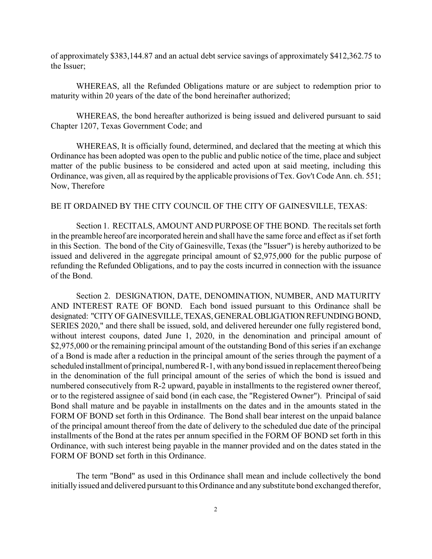of approximately \$383,144.87 and an actual debt service savings of approximately \$412,362.75 to the Issuer;

WHEREAS, all the Refunded Obligations mature or are subject to redemption prior to maturity within 20 years of the date of the bond hereinafter authorized;

WHEREAS, the bond hereafter authorized is being issued and delivered pursuant to said Chapter 1207, Texas Government Code; and

WHEREAS, It is officially found, determined, and declared that the meeting at which this Ordinance has been adopted was open to the public and public notice of the time, place and subject matter of the public business to be considered and acted upon at said meeting, including this Ordinance, was given, all as required by the applicable provisions of Tex. Gov't Code Ann. ch. 551; Now, Therefore

#### BE IT ORDAINED BY THE CITY COUNCIL OF THE CITY OF GAINESVILLE, TEXAS:

Section 1. RECITALS, AMOUNT AND PURPOSE OF THE BOND. The recitals set forth in the preamble hereof are incorporated herein and shall have the same force and effect as if set forth in this Section. The bond of the City of Gainesville, Texas (the "Issuer") is hereby authorized to be issued and delivered in the aggregate principal amount of \$2,975,000 for the public purpose of refunding the Refunded Obligations, and to pay the costs incurred in connection with the issuance of the Bond.

Section 2. DESIGNATION, DATE, DENOMINATION, NUMBER, AND MATURITY AND INTEREST RATE OF BOND. Each bond issued pursuant to this Ordinance shall be designated: "CITY OF GAINESVILLE, TEXAS, GENERAL OBLIGATION REFUNDING BOND, SERIES 2020," and there shall be issued, sold, and delivered hereunder one fully registered bond, without interest coupons, dated June 1, 2020, in the denomination and principal amount of \$2,975,000 or the remaining principal amount of the outstanding Bond of this series if an exchange of a Bond is made after a reduction in the principal amount of the series through the payment of a scheduled installment of principal, numbered R-1, with any bond issued in replacement thereof being in the denomination of the full principal amount of the series of which the bond is issued and numbered consecutively from R-2 upward, payable in installments to the registered owner thereof, or to the registered assignee of said bond (in each case, the "Registered Owner"). Principal of said Bond shall mature and be payable in installments on the dates and in the amounts stated in the FORM OF BOND set forth in this Ordinance. The Bond shall bear interest on the unpaid balance of the principal amount thereof from the date of delivery to the scheduled due date of the principal installments of the Bond at the rates per annum specified in the FORM OF BOND set forth in this Ordinance, with such interest being payable in the manner provided and on the dates stated in the FORM OF BOND set forth in this Ordinance.

The term "Bond" as used in this Ordinance shall mean and include collectively the bond initially issued and delivered pursuant to this Ordinance and any substitute bond exchanged therefor,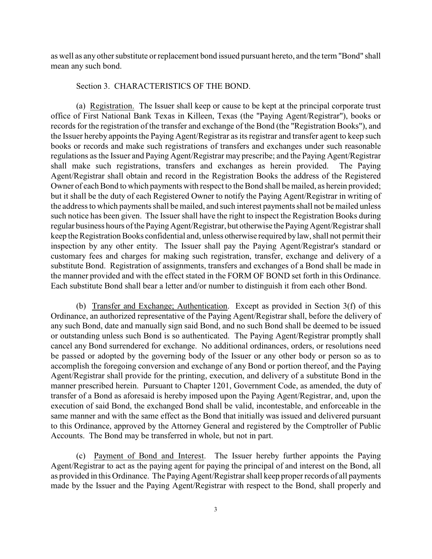as well as any other substitute or replacement bond issued pursuant hereto, and the term "Bond" shall mean any such bond.

## Section 3. CHARACTERISTICS OF THE BOND.

(a) Registration. The Issuer shall keep or cause to be kept at the principal corporate trust office of First National Bank Texas in Killeen, Texas (the "Paying Agent/Registrar"), books or records for the registration of the transfer and exchange of the Bond (the "Registration Books"), and the Issuer hereby appoints the Paying Agent/Registrar as its registrar and transfer agent to keep such books or records and make such registrations of transfers and exchanges under such reasonable regulations as the Issuer and Paying Agent/Registrar may prescribe; and the Paying Agent/Registrar shall make such registrations, transfers and exchanges as herein provided. The Paying Agent/Registrar shall obtain and record in the Registration Books the address of the Registered Owner of each Bond to which payments with respect to the Bond shall be mailed, as herein provided; but it shall be the duty of each Registered Owner to notify the Paying Agent/Registrar in writing of the address to which payments shall be mailed, and such interest payments shall not be mailed unless such notice has been given. The Issuer shall have the right to inspect the Registration Books during regular business hours of the Paying Agent/Registrar, but otherwise the Paying Agent/Registrar shall keep the Registration Books confidential and, unless otherwise required by law, shall not permit their inspection by any other entity. The Issuer shall pay the Paying Agent/Registrar's standard or customary fees and charges for making such registration, transfer, exchange and delivery of a substitute Bond. Registration of assignments, transfers and exchanges of a Bond shall be made in the manner provided and with the effect stated in the FORM OF BOND set forth in this Ordinance. Each substitute Bond shall bear a letter and/or number to distinguish it from each other Bond.

(b) Transfer and Exchange; Authentication. Except as provided in Section 3(f) of this Ordinance, an authorized representative of the Paying Agent/Registrar shall, before the delivery of any such Bond, date and manually sign said Bond, and no such Bond shall be deemed to be issued or outstanding unless such Bond is so authenticated. The Paying Agent/Registrar promptly shall cancel any Bond surrendered for exchange. No additional ordinances, orders, or resolutions need be passed or adopted by the governing body of the Issuer or any other body or person so as to accomplish the foregoing conversion and exchange of any Bond or portion thereof, and the Paying Agent/Registrar shall provide for the printing, execution, and delivery of a substitute Bond in the manner prescribed herein. Pursuant to Chapter 1201, Government Code, as amended, the duty of transfer of a Bond as aforesaid is hereby imposed upon the Paying Agent/Registrar, and, upon the execution of said Bond, the exchanged Bond shall be valid, incontestable, and enforceable in the same manner and with the same effect as the Bond that initially was issued and delivered pursuant to this Ordinance, approved by the Attorney General and registered by the Comptroller of Public Accounts. The Bond may be transferred in whole, but not in part.

(c) Payment of Bond and Interest. The Issuer hereby further appoints the Paying Agent/Registrar to act as the paying agent for paying the principal of and interest on the Bond, all as provided in this Ordinance. The Paying Agent/Registrar shall keep proper records of all payments made by the Issuer and the Paying Agent/Registrar with respect to the Bond, shall properly and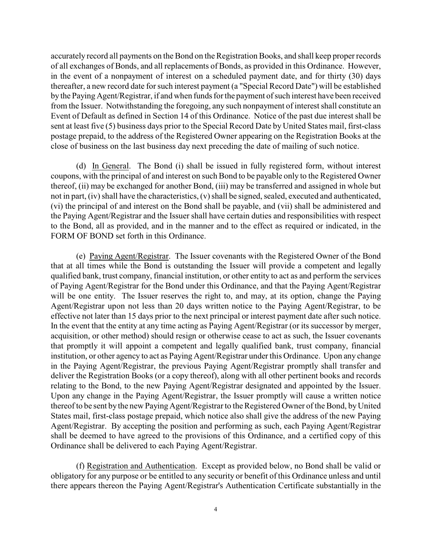accurately record all payments on the Bond on the Registration Books, and shall keep proper records of all exchanges of Bonds, and all replacements of Bonds, as provided in this Ordinance. However, in the event of a nonpayment of interest on a scheduled payment date, and for thirty (30) days thereafter, a new record date for such interest payment (a "Special Record Date") will be established by the Paying Agent/Registrar, if and when funds for the payment of such interest have been received from the Issuer. Notwithstanding the foregoing, any such nonpayment of interest shall constitute an Event of Default as defined in Section 14 of this Ordinance. Notice of the past due interest shall be sent at least five (5) business days prior to the Special Record Date by United States mail, first-class postage prepaid, to the address of the Registered Owner appearing on the Registration Books at the close of business on the last business day next preceding the date of mailing of such notice.

(d) In General. The Bond (i) shall be issued in fully registered form, without interest coupons, with the principal of and interest on such Bond to be payable only to the Registered Owner thereof, (ii) may be exchanged for another Bond, (iii) may be transferred and assigned in whole but not in part, (iv) shall have the characteristics, (v) shall be signed, sealed, executed and authenticated, (vi) the principal of and interest on the Bond shall be payable, and (vii) shall be administered and the Paying Agent/Registrar and the Issuer shall have certain duties and responsibilities with respect to the Bond, all as provided, and in the manner and to the effect as required or indicated, in the FORM OF BOND set forth in this Ordinance.

(e) Paying Agent/Registrar. The Issuer covenants with the Registered Owner of the Bond that at all times while the Bond is outstanding the Issuer will provide a competent and legally qualified bank, trust company, financial institution, or other entity to act as and perform the services of Paying Agent/Registrar for the Bond under this Ordinance, and that the Paying Agent/Registrar will be one entity. The Issuer reserves the right to, and may, at its option, change the Paying Agent/Registrar upon not less than 20 days written notice to the Paying Agent/Registrar, to be effective not later than 15 days prior to the next principal or interest payment date after such notice. In the event that the entity at any time acting as Paying Agent/Registrar (or its successor by merger, acquisition, or other method) should resign or otherwise cease to act as such, the Issuer covenants that promptly it will appoint a competent and legally qualified bank, trust company, financial institution, or other agency to act as Paying Agent/Registrar under this Ordinance. Upon any change in the Paying Agent/Registrar, the previous Paying Agent/Registrar promptly shall transfer and deliver the Registration Books (or a copy thereof), along with all other pertinent books and records relating to the Bond, to the new Paying Agent/Registrar designated and appointed by the Issuer. Upon any change in the Paying Agent/Registrar, the Issuer promptly will cause a written notice thereof to be sent by the new Paying Agent/Registrar to the Registered Owner of the Bond, by United States mail, first-class postage prepaid, which notice also shall give the address of the new Paying Agent/Registrar. By accepting the position and performing as such, each Paying Agent/Registrar shall be deemed to have agreed to the provisions of this Ordinance, and a certified copy of this Ordinance shall be delivered to each Paying Agent/Registrar.

(f) Registration and Authentication. Except as provided below, no Bond shall be valid or obligatory for any purpose or be entitled to any security or benefit of this Ordinance unless and until there appears thereon the Paying Agent/Registrar's Authentication Certificate substantially in the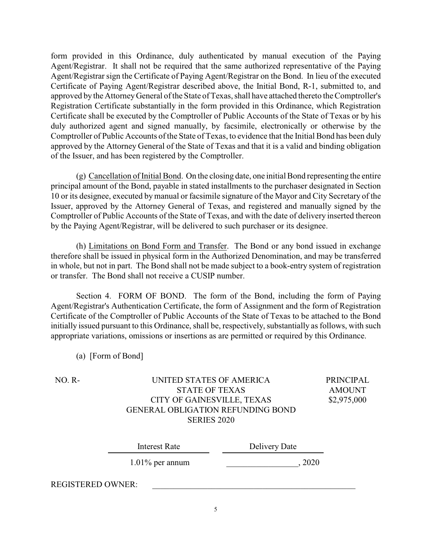form provided in this Ordinance, duly authenticated by manual execution of the Paying Agent/Registrar. It shall not be required that the same authorized representative of the Paying Agent/Registrar sign the Certificate of Paying Agent/Registrar on the Bond. In lieu of the executed Certificate of Paying Agent/Registrar described above, the Initial Bond, R-1, submitted to, and approved by the Attorney General of the State of Texas, shall have attached thereto the Comptroller's Registration Certificate substantially in the form provided in this Ordinance, which Registration Certificate shall be executed by the Comptroller of Public Accounts of the State of Texas or by his duly authorized agent and signed manually, by facsimile, electronically or otherwise by the Comptroller of Public Accounts of the State of Texas, to evidence that the Initial Bond has been duly approved by the Attorney General of the State of Texas and that it is a valid and binding obligation of the Issuer, and has been registered by the Comptroller.

(g) Cancellation of Initial Bond. On the closing date, one initial Bond representing the entire principal amount of the Bond, payable in stated installments to the purchaser designated in Section 10 or its designee, executed by manual or facsimile signature of the Mayor and City Secretary of the Issuer, approved by the Attorney General of Texas, and registered and manually signed by the Comptroller of Public Accounts of the State of Texas, and with the date of delivery inserted thereon by the Paying Agent/Registrar, will be delivered to such purchaser or its designee.

(h) Limitations on Bond Form and Transfer. The Bond or any bond issued in exchange therefore shall be issued in physical form in the Authorized Denomination, and may be transferred in whole, but not in part. The Bond shall not be made subject to a book-entry system of registration or transfer. The Bond shall not receive a CUSIP number.

Section 4. FORM OF BOND. The form of the Bond, including the form of Paying Agent/Registrar's Authentication Certificate, the form of Assignment and the form of Registration Certificate of the Comptroller of Public Accounts of the State of Texas to be attached to the Bond initially issued pursuant to this Ordinance, shall be, respectively, substantially as follows, with such appropriate variations, omissions or insertions as are permitted or required by this Ordinance.

(a) [Form of Bond]

| NO. R- | UNITED STATES OF AMERICA          | PRINCIPAL     |
|--------|-----------------------------------|---------------|
|        | STATE OF TEXAS                    | <b>AMOUNT</b> |
|        | CITY OF GAINESVILLE, TEXAS        | \$2,975,000   |
|        | GENERAL OBLIGATION REFUNDING BOND |               |
|        | <b>SERIES 2020</b>                |               |
|        |                                   |               |

| Interest Rate            | Delivery Date |
|--------------------------|---------------|
| $1.01\%$ per annum       | 2020          |
| <b>REGISTERED OWNER:</b> |               |

5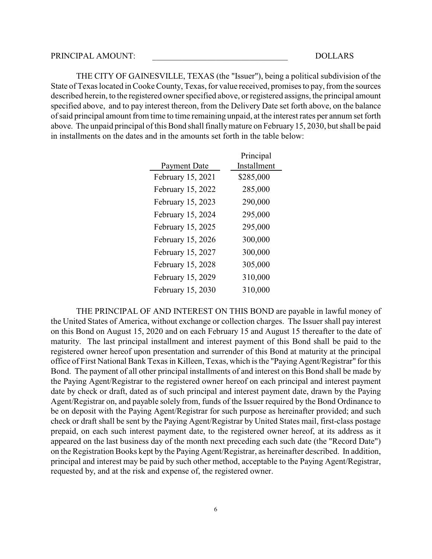#### PRINCIPAL AMOUNT: \_\_\_\_\_\_\_\_\_\_\_\_\_\_\_\_\_\_\_\_\_\_\_\_\_\_\_\_\_\_\_\_ DOLLARS

THE CITY OF GAINESVILLE, TEXAS (the "Issuer"), being a political subdivision of the State of Texas located in Cooke County, Texas, for value received, promises to pay, from the sources described herein, to the registered owner specified above, or registered assigns, the principal amount specified above, and to pay interest thereon, from the Delivery Date set forth above, on the balance of said principal amount from time to time remaining unpaid, at the interest rates per annum set forth above. The unpaid principal of this Bond shall finally mature on February 15, 2030, but shall be paid in installments on the dates and in the amounts set forth in the table below:

|                     | Principal   |
|---------------------|-------------|
| <b>Payment Date</b> | Installment |
| February 15, 2021   | \$285,000   |
| February 15, 2022   | 285,000     |
| February 15, 2023   | 290,000     |
| February 15, 2024   | 295,000     |
| February 15, 2025   | 295,000     |
| February 15, 2026   | 300,000     |
| February 15, 2027   | 300,000     |
| February 15, 2028   | 305,000     |
| February 15, 2029   | 310,000     |
| February 15, 2030   | 310,000     |

THE PRINCIPAL OF AND INTEREST ON THIS BOND are payable in lawful money of the United States of America, without exchange or collection charges. The Issuer shall pay interest on this Bond on August 15, 2020 and on each February 15 and August 15 thereafter to the date of maturity. The last principal installment and interest payment of this Bond shall be paid to the registered owner hereof upon presentation and surrender of this Bond at maturity at the principal office of First National Bank Texas in Killeen, Texas, which is the "Paying Agent/Registrar" for this Bond. The payment of all other principal installments of and interest on this Bond shall be made by the Paying Agent/Registrar to the registered owner hereof on each principal and interest payment date by check or draft, dated as of such principal and interest payment date, drawn by the Paying Agent/Registrar on, and payable solely from, funds of the Issuer required by the Bond Ordinance to be on deposit with the Paying Agent/Registrar for such purpose as hereinafter provided; and such check or draft shall be sent by the Paying Agent/Registrar by United States mail, first-class postage prepaid, on each such interest payment date, to the registered owner hereof, at its address as it appeared on the last business day of the month next preceding each such date (the "Record Date") on the Registration Books kept by the Paying Agent/Registrar, as hereinafter described. In addition, principal and interest may be paid by such other method, acceptable to the Paying Agent/Registrar, requested by, and at the risk and expense of, the registered owner.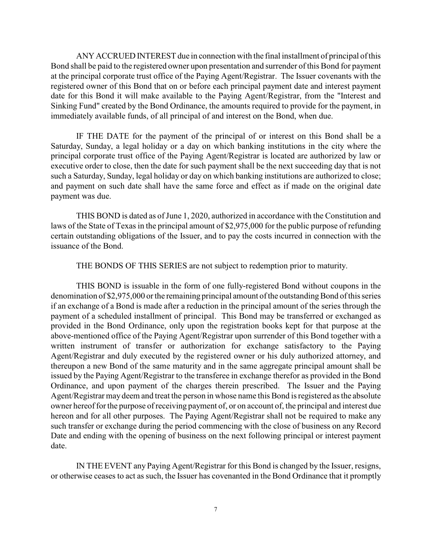ANY ACCRUED INTEREST due in connection with the final installment of principal of this Bond shall be paid to the registered owner upon presentation and surrender of this Bond for payment at the principal corporate trust office of the Paying Agent/Registrar. The Issuer covenants with the registered owner of this Bond that on or before each principal payment date and interest payment date for this Bond it will make available to the Paying Agent/Registrar, from the "Interest and Sinking Fund" created by the Bond Ordinance, the amounts required to provide for the payment, in immediately available funds, of all principal of and interest on the Bond, when due.

IF THE DATE for the payment of the principal of or interest on this Bond shall be a Saturday, Sunday, a legal holiday or a day on which banking institutions in the city where the principal corporate trust office of the Paying Agent/Registrar is located are authorized by law or executive order to close, then the date for such payment shall be the next succeeding day that is not such a Saturday, Sunday, legal holiday or day on which banking institutions are authorized to close; and payment on such date shall have the same force and effect as if made on the original date payment was due.

THIS BOND is dated as of June 1, 2020, authorized in accordance with the Constitution and laws of the State of Texas in the principal amount of \$2,975,000 for the public purpose of refunding certain outstanding obligations of the Issuer, and to pay the costs incurred in connection with the issuance of the Bond.

THE BONDS OF THIS SERIES are not subject to redemption prior to maturity.

THIS BOND is issuable in the form of one fully-registered Bond without coupons in the denomination of \$2,975,000 or the remaining principal amount of the outstanding Bond of this series if an exchange of a Bond is made after a reduction in the principal amount of the series through the payment of a scheduled installment of principal. This Bond may be transferred or exchanged as provided in the Bond Ordinance, only upon the registration books kept for that purpose at the above-mentioned office of the Paying Agent/Registrar upon surrender of this Bond together with a written instrument of transfer or authorization for exchange satisfactory to the Paying Agent/Registrar and duly executed by the registered owner or his duly authorized attorney, and thereupon a new Bond of the same maturity and in the same aggregate principal amount shall be issued by the Paying Agent/Registrar to the transferee in exchange therefor as provided in the Bond Ordinance, and upon payment of the charges therein prescribed. The Issuer and the Paying Agent/Registrar may deem and treat the person in whose name this Bond is registered as the absolute owner hereof for the purpose of receiving payment of, or on account of, the principal and interest due hereon and for all other purposes. The Paying Agent/Registrar shall not be required to make any such transfer or exchange during the period commencing with the close of business on any Record Date and ending with the opening of business on the next following principal or interest payment date.

IN THE EVENT any Paying Agent/Registrar for this Bond is changed by the Issuer, resigns, or otherwise ceases to act as such, the Issuer has covenanted in the Bond Ordinance that it promptly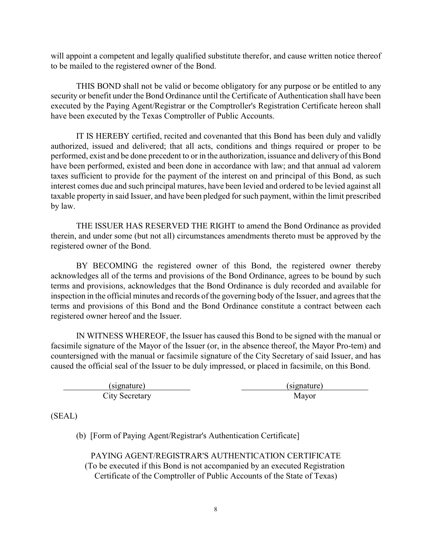will appoint a competent and legally qualified substitute therefor, and cause written notice thereof to be mailed to the registered owner of the Bond.

THIS BOND shall not be valid or become obligatory for any purpose or be entitled to any security or benefit under the Bond Ordinance until the Certificate of Authentication shall have been executed by the Paying Agent/Registrar or the Comptroller's Registration Certificate hereon shall have been executed by the Texas Comptroller of Public Accounts.

IT IS HEREBY certified, recited and covenanted that this Bond has been duly and validly authorized, issued and delivered; that all acts, conditions and things required or proper to be performed, exist and be done precedent to or in the authorization, issuance and delivery of this Bond have been performed, existed and been done in accordance with law; and that annual ad valorem taxes sufficient to provide for the payment of the interest on and principal of this Bond, as such interest comes due and such principal matures, have been levied and ordered to be levied against all taxable property in said Issuer, and have been pledged for such payment, within the limit prescribed by law.

THE ISSUER HAS RESERVED THE RIGHT to amend the Bond Ordinance as provided therein, and under some (but not all) circumstances amendments thereto must be approved by the registered owner of the Bond.

BY BECOMING the registered owner of this Bond, the registered owner thereby acknowledges all of the terms and provisions of the Bond Ordinance, agrees to be bound by such terms and provisions, acknowledges that the Bond Ordinance is duly recorded and available for inspection in the official minutes and records of the governing body of the Issuer, and agrees that the terms and provisions of this Bond and the Bond Ordinance constitute a contract between each registered owner hereof and the Issuer.

IN WITNESS WHEREOF, the Issuer has caused this Bond to be signed with the manual or facsimile signature of the Mayor of the Issuer (or, in the absence thereof, the Mayor Pro-tem) and countersigned with the manual or facsimile signature of the City Secretary of said Issuer, and has caused the official seal of the Issuer to be duly impressed, or placed in facsimile, on this Bond.

(signature) (signature) City Secretary Mayor

(SEAL)

(b) [Form of Paying Agent/Registrar's Authentication Certificate]

PAYING AGENT/REGISTRAR'S AUTHENTICATION CERTIFICATE (To be executed if this Bond is not accompanied by an executed Registration Certificate of the Comptroller of Public Accounts of the State of Texas)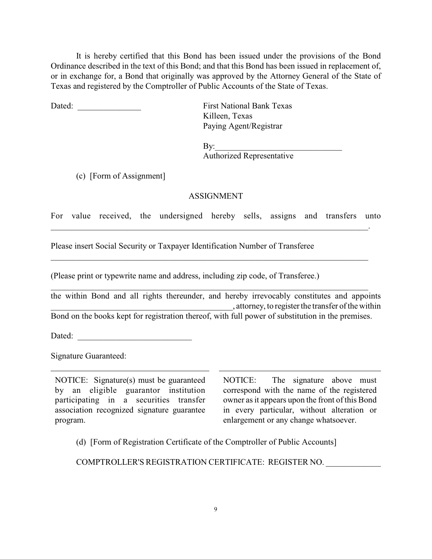It is hereby certified that this Bond has been issued under the provisions of the Bond Ordinance described in the text of this Bond; and that this Bond has been issued in replacement of, or in exchange for, a Bond that originally was approved by the Attorney General of the State of Texas and registered by the Comptroller of Public Accounts of the State of Texas.

Dated: **Dated:** First National Bank Texas

Killeen, Texas Paying Agent/Registrar

By:\_\_\_\_\_\_\_\_\_\_\_\_\_\_\_\_\_\_\_\_\_\_\_\_\_\_\_\_\_\_ Authorized Representative

(c) [Form of Assignment]

## ASSIGNMENT

For value received, the undersigned hereby sells, assigns and transfers unto

\_\_\_\_\_\_\_\_\_\_\_\_\_\_\_\_\_\_\_\_\_\_\_\_\_\_\_\_\_\_\_\_\_\_\_\_\_\_\_\_\_\_\_\_\_\_\_\_\_\_\_\_\_\_\_\_\_\_\_\_\_\_\_\_\_\_\_\_\_\_\_\_\_\_\_.

Please insert Social Security or Taxpayer Identification Number of Transferee

(Please print or typewrite name and address, including zip code, of Transferee.)

the within Bond and all rights thereunder, and hereby irrevocably constitutes and appoints \_\_\_\_\_\_\_\_\_\_\_\_\_\_\_\_\_\_\_\_\_\_\_\_\_\_\_\_\_\_\_\_\_\_\_\_\_\_\_\_\_\_\_, attorney, to register the transfer of the within Bond on the books kept for registration thereof, with full power of substitution in the premises.

\_\_\_\_\_\_\_\_\_\_\_\_\_\_\_\_\_\_\_\_\_\_\_\_\_\_\_\_\_\_\_\_\_\_\_\_\_\_\_\_\_\_\_\_\_\_\_\_\_\_\_\_\_\_\_\_\_\_\_\_\_\_\_\_\_\_\_\_\_\_\_\_\_\_\_

Dated: \_\_\_\_\_\_\_\_\_\_\_\_\_\_\_\_\_\_\_\_\_\_\_\_\_\_\_

Signature Guaranteed:

NOTICE: Signature(s) must be guaranteed by an eligible guarantor institution participating in a securities transfer association recognized signature guarantee program.

NOTICE: The signature above must correspond with the name of the registered owner as it appears upon the front of this Bond in every particular, without alteration or enlargement or any change whatsoever.

(d) [Form of Registration Certificate of the Comptroller of Public Accounts]

COMPTROLLER'S REGISTRATION CERTIFICATE: REGISTER NO. \_\_\_\_\_\_\_\_\_\_\_\_\_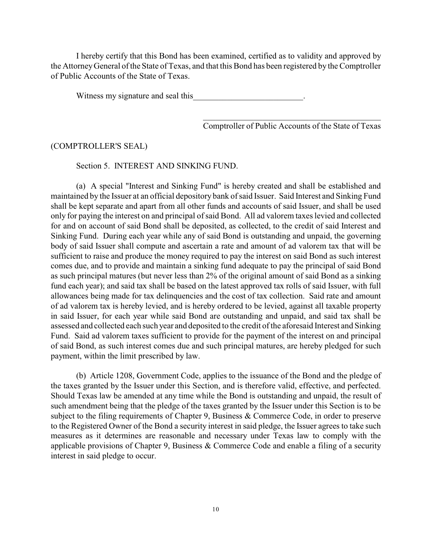I hereby certify that this Bond has been examined, certified as to validity and approved by the AttorneyGeneral of the State of Texas, and that this Bond has been registered by the Comptroller of Public Accounts of the State of Texas.

Witness my signature and seal this

 $\mathcal{L}_\mathcal{L}$  , which is a set of the set of the set of the set of the set of the set of the set of the set of the set of the set of the set of the set of the set of the set of the set of the set of the set of the set of Comptroller of Public Accounts of the State of Texas

#### (COMPTROLLER'S SEAL)

Section 5. INTEREST AND SINKING FUND.

(a) A special "Interest and Sinking Fund" is hereby created and shall be established and maintained by the Issuer at an official depository bank of said Issuer. Said Interest and Sinking Fund shall be kept separate and apart from all other funds and accounts of said Issuer, and shall be used only for paying the interest on and principal of said Bond. All ad valorem taxes levied and collected for and on account of said Bond shall be deposited, as collected, to the credit of said Interest and Sinking Fund. During each year while any of said Bond is outstanding and unpaid, the governing body of said Issuer shall compute and ascertain a rate and amount of ad valorem tax that will be sufficient to raise and produce the money required to pay the interest on said Bond as such interest comes due, and to provide and maintain a sinking fund adequate to pay the principal of said Bond as such principal matures (but never less than 2% of the original amount of said Bond as a sinking fund each year); and said tax shall be based on the latest approved tax rolls of said Issuer, with full allowances being made for tax delinquencies and the cost of tax collection. Said rate and amount of ad valorem tax is hereby levied, and is hereby ordered to be levied, against all taxable property in said Issuer, for each year while said Bond are outstanding and unpaid, and said tax shall be assessed and collected each such year and deposited to the credit of the aforesaid Interest and Sinking Fund. Said ad valorem taxes sufficient to provide for the payment of the interest on and principal of said Bond, as such interest comes due and such principal matures, are hereby pledged for such payment, within the limit prescribed by law.

(b) Article 1208, Government Code, applies to the issuance of the Bond and the pledge of the taxes granted by the Issuer under this Section, and is therefore valid, effective, and perfected. Should Texas law be amended at any time while the Bond is outstanding and unpaid, the result of such amendment being that the pledge of the taxes granted by the Issuer under this Section is to be subject to the filing requirements of Chapter 9, Business & Commerce Code, in order to preserve to the Registered Owner of the Bond a security interest in said pledge, the Issuer agrees to take such measures as it determines are reasonable and necessary under Texas law to comply with the applicable provisions of Chapter 9, Business & Commerce Code and enable a filing of a security interest in said pledge to occur.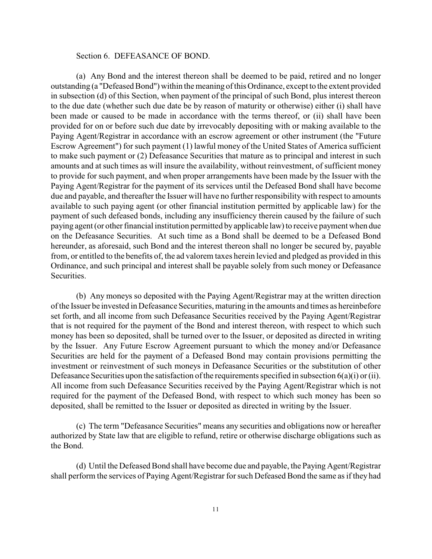### Section 6. DEFEASANCE OF BOND.

(a) Any Bond and the interest thereon shall be deemed to be paid, retired and no longer outstanding (a "Defeased Bond") within the meaning of this Ordinance, except to the extent provided in subsection (d) of this Section, when payment of the principal of such Bond, plus interest thereon to the due date (whether such due date be by reason of maturity or otherwise) either (i) shall have been made or caused to be made in accordance with the terms thereof, or (ii) shall have been provided for on or before such due date by irrevocably depositing with or making available to the Paying Agent/Registrar in accordance with an escrow agreement or other instrument (the "Future Escrow Agreement") for such payment (1) lawful money of the United States of America sufficient to make such payment or (2) Defeasance Securities that mature as to principal and interest in such amounts and at such times as will insure the availability, without reinvestment, of sufficient money to provide for such payment, and when proper arrangements have been made by the Issuer with the Paying Agent/Registrar for the payment of its services until the Defeased Bond shall have become due and payable, and thereafter the Issuer will have no further responsibility with respect to amounts available to such paying agent (or other financial institution permitted by applicable law) for the payment of such defeased bonds, including any insufficiency therein caused by the failure of such paying agent (or other financial institution permitted by applicable law) to receive payment when due on the Defeasance Securities. At such time as a Bond shall be deemed to be a Defeased Bond hereunder, as aforesaid, such Bond and the interest thereon shall no longer be secured by, payable from, or entitled to the benefits of, the ad valorem taxes herein levied and pledged as provided in this Ordinance, and such principal and interest shall be payable solely from such money or Defeasance Securities.

(b) Any moneys so deposited with the Paying Agent/Registrar may at the written direction of the Issuer be invested in Defeasance Securities, maturing in the amounts and times as hereinbefore set forth, and all income from such Defeasance Securities received by the Paying Agent/Registrar that is not required for the payment of the Bond and interest thereon, with respect to which such money has been so deposited, shall be turned over to the Issuer, or deposited as directed in writing by the Issuer. Any Future Escrow Agreement pursuant to which the money and/or Defeasance Securities are held for the payment of a Defeased Bond may contain provisions permitting the investment or reinvestment of such moneys in Defeasance Securities or the substitution of other Defeasance Securities upon the satisfaction of the requirements specified in subsection  $6(a)(i)$  or (ii). All income from such Defeasance Securities received by the Paying Agent/Registrar which is not required for the payment of the Defeased Bond, with respect to which such money has been so deposited, shall be remitted to the Issuer or deposited as directed in writing by the Issuer.

(c) The term "Defeasance Securities" means any securities and obligations now or hereafter authorized by State law that are eligible to refund, retire or otherwise discharge obligations such as the Bond.

(d) Until the Defeased Bond shall have become due and payable, the Paying Agent/Registrar shall perform the services of Paying Agent/Registrar for such Defeased Bond the same as if they had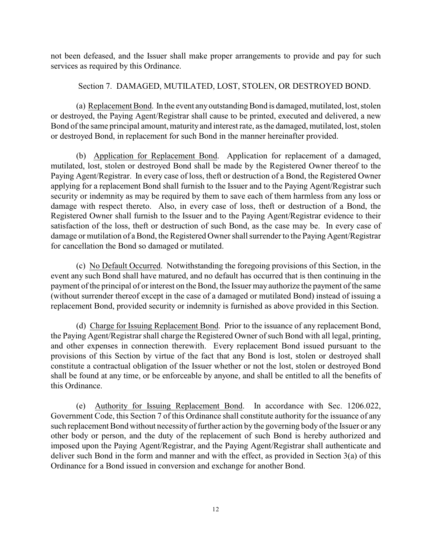not been defeased, and the Issuer shall make proper arrangements to provide and pay for such services as required by this Ordinance.

## Section 7. DAMAGED, MUTILATED, LOST, STOLEN, OR DESTROYED BOND.

(a) Replacement Bond. In the event any outstanding Bond is damaged, mutilated, lost, stolen or destroyed, the Paying Agent/Registrar shall cause to be printed, executed and delivered, a new Bond of the same principal amount, maturity and interest rate, as the damaged, mutilated, lost, stolen or destroyed Bond, in replacement for such Bond in the manner hereinafter provided.

(b) Application for Replacement Bond. Application for replacement of a damaged, mutilated, lost, stolen or destroyed Bond shall be made by the Registered Owner thereof to the Paying Agent/Registrar. In every case of loss, theft or destruction of a Bond, the Registered Owner applying for a replacement Bond shall furnish to the Issuer and to the Paying Agent/Registrar such security or indemnity as may be required by them to save each of them harmless from any loss or damage with respect thereto. Also, in every case of loss, theft or destruction of a Bond, the Registered Owner shall furnish to the Issuer and to the Paying Agent/Registrar evidence to their satisfaction of the loss, theft or destruction of such Bond, as the case may be. In every case of damage or mutilation of a Bond, the Registered Owner shall surrender to the Paying Agent/Registrar for cancellation the Bond so damaged or mutilated.

(c) No Default Occurred. Notwithstanding the foregoing provisions of this Section, in the event any such Bond shall have matured, and no default has occurred that is then continuing in the payment of the principal of or interest on the Bond, the Issuer mayauthorize the payment of the same (without surrender thereof except in the case of a damaged or mutilated Bond) instead of issuing a replacement Bond, provided security or indemnity is furnished as above provided in this Section.

(d) Charge for Issuing Replacement Bond. Prior to the issuance of any replacement Bond, the Paying Agent/Registrar shall charge the Registered Owner of such Bond with all legal, printing, and other expenses in connection therewith. Every replacement Bond issued pursuant to the provisions of this Section by virtue of the fact that any Bond is lost, stolen or destroyed shall constitute a contractual obligation of the Issuer whether or not the lost, stolen or destroyed Bond shall be found at any time, or be enforceable by anyone, and shall be entitled to all the benefits of this Ordinance.

(e) Authority for Issuing Replacement Bond. In accordance with Sec. 1206.022, Government Code, this Section 7 of this Ordinance shall constitute authority for the issuance of any such replacement Bond without necessity of further action by the governing body of the Issuer or any other body or person, and the duty of the replacement of such Bond is hereby authorized and imposed upon the Paying Agent/Registrar, and the Paying Agent/Registrar shall authenticate and deliver such Bond in the form and manner and with the effect, as provided in Section 3(a) of this Ordinance for a Bond issued in conversion and exchange for another Bond.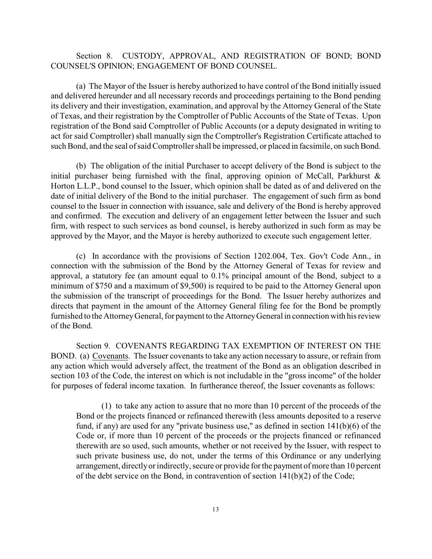## Section 8. CUSTODY, APPROVAL, AND REGISTRATION OF BOND; BOND COUNSEL'S OPINION; ENGAGEMENT OF BOND COUNSEL.

(a) The Mayor of the Issuer is hereby authorized to have control of the Bond initially issued and delivered hereunder and all necessary records and proceedings pertaining to the Bond pending its delivery and their investigation, examination, and approval by the Attorney General of the State of Texas, and their registration by the Comptroller of Public Accounts of the State of Texas. Upon registration of the Bond said Comptroller of Public Accounts (or a deputy designated in writing to act for said Comptroller) shall manually sign the Comptroller's Registration Certificate attached to such Bond, and the seal of said Comptroller shall be impressed, or placed in facsimile, on such Bond.

(b) The obligation of the initial Purchaser to accept delivery of the Bond is subject to the initial purchaser being furnished with the final, approving opinion of McCall, Parkhurst  $\&$ Horton L.L.P., bond counsel to the Issuer, which opinion shall be dated as of and delivered on the date of initial delivery of the Bond to the initial purchaser. The engagement of such firm as bond counsel to the Issuer in connection with issuance, sale and delivery of the Bond is hereby approved and confirmed. The execution and delivery of an engagement letter between the Issuer and such firm, with respect to such services as bond counsel, is hereby authorized in such form as may be approved by the Mayor, and the Mayor is hereby authorized to execute such engagement letter.

(c) In accordance with the provisions of Section 1202.004, Tex. Gov't Code Ann., in connection with the submission of the Bond by the Attorney General of Texas for review and approval, a statutory fee (an amount equal to 0.1% principal amount of the Bond, subject to a minimum of \$750 and a maximum of \$9,500) is required to be paid to the Attorney General upon the submission of the transcript of proceedings for the Bond. The Issuer hereby authorizes and directs that payment in the amount of the Attorney General filing fee for the Bond be promptly furnished to the Attorney General, for payment to the Attorney General in connection with his review of the Bond.

Section 9. COVENANTS REGARDING TAX EXEMPTION OF INTEREST ON THE BOND. (a) Covenants. The Issuer covenants to take any action necessary to assure, or refrain from any action which would adversely affect, the treatment of the Bond as an obligation described in section 103 of the Code, the interest on which is not includable in the "gross income" of the holder for purposes of federal income taxation. In furtherance thereof, the Issuer covenants as follows:

(1) to take any action to assure that no more than 10 percent of the proceeds of the Bond or the projects financed or refinanced therewith (less amounts deposited to a reserve fund, if any) are used for any "private business use," as defined in section 141(b)(6) of the Code or, if more than 10 percent of the proceeds or the projects financed or refinanced therewith are so used, such amounts, whether or not received by the Issuer, with respect to such private business use, do not, under the terms of this Ordinance or any underlying arrangement, directly or indirectly, secure or provide for the payment of more than 10 percent of the debt service on the Bond, in contravention of section 141(b)(2) of the Code;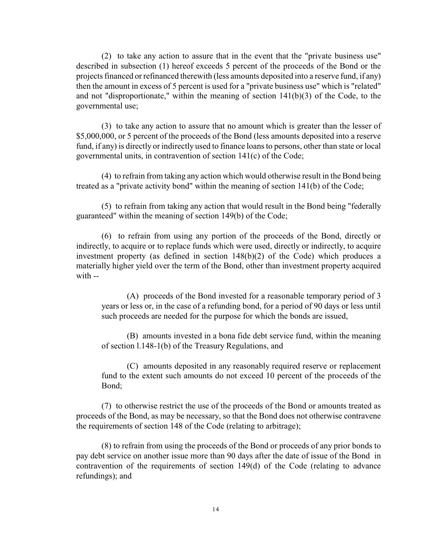(2) to take any action to assure that in the event that the "private business use" described in subsection (1) hereof exceeds 5 percent of the proceeds of the Bond or the projects financed or refinanced therewith (less amounts deposited into a reserve fund, if any) then the amount in excess of 5 percent is used for a "private business use" which is "related" and not "disproportionate," within the meaning of section 141(b)(3) of the Code, to the governmental use;

(3) to take any action to assure that no amount which is greater than the lesser of \$5,000,000, or 5 percent of the proceeds of the Bond (less amounts deposited into a reserve fund, if any) is directly or indirectly used to finance loans to persons, other than state or local governmental units, in contravention of section 141(c) of the Code;

(4) to refrain from taking any action which would otherwise result in the Bond being treated as a "private activity bond" within the meaning of section 141(b) of the Code;

(5) to refrain from taking any action that would result in the Bond being "federally guaranteed" within the meaning of section 149(b) of the Code;

(6) to refrain from using any portion of the proceeds of the Bond, directly or indirectly, to acquire or to replace funds which were used, directly or indirectly, to acquire investment property (as defined in section 148(b)(2) of the Code) which produces a materially higher yield over the term of the Bond, other than investment property acquired with --

(A) proceeds of the Bond invested for a reasonable temporary period of 3 years or less or, in the case of a refunding bond, for a period of 90 days or less until such proceeds are needed for the purpose for which the bonds are issued,

(B) amounts invested in a bona fide debt service fund, within the meaning of section l.148-1(b) of the Treasury Regulations, and

(C) amounts deposited in any reasonably required reserve or replacement fund to the extent such amounts do not exceed 10 percent of the proceeds of the Bond;

(7) to otherwise restrict the use of the proceeds of the Bond or amounts treated as proceeds of the Bond, as may be necessary, so that the Bond does not otherwise contravene the requirements of section 148 of the Code (relating to arbitrage);

(8) to refrain from using the proceeds of the Bond or proceeds of any prior bonds to pay debt service on another issue more than 90 days after the date of issue of the Bond in contravention of the requirements of section 149(d) of the Code (relating to advance refundings); and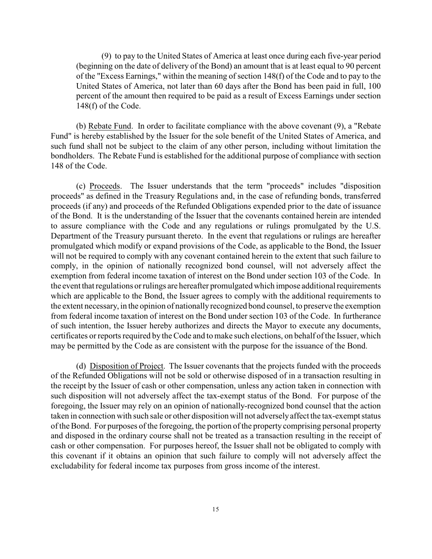(9) to pay to the United States of America at least once during each five-year period (beginning on the date of delivery of the Bond) an amount that is at least equal to 90 percent of the "Excess Earnings," within the meaning of section 148(f) of the Code and to pay to the United States of America, not later than 60 days after the Bond has been paid in full, 100 percent of the amount then required to be paid as a result of Excess Earnings under section 148(f) of the Code.

(b) Rebate Fund. In order to facilitate compliance with the above covenant (9), a "Rebate Fund" is hereby established by the Issuer for the sole benefit of the United States of America, and such fund shall not be subject to the claim of any other person, including without limitation the bondholders. The Rebate Fund is established for the additional purpose of compliance with section 148 of the Code.

(c) Proceeds. The Issuer understands that the term "proceeds" includes "disposition proceeds" as defined in the Treasury Regulations and, in the case of refunding bonds, transferred proceeds (if any) and proceeds of the Refunded Obligations expended prior to the date of issuance of the Bond. It is the understanding of the Issuer that the covenants contained herein are intended to assure compliance with the Code and any regulations or rulings promulgated by the U.S. Department of the Treasury pursuant thereto. In the event that regulations or rulings are hereafter promulgated which modify or expand provisions of the Code, as applicable to the Bond, the Issuer will not be required to comply with any covenant contained herein to the extent that such failure to comply, in the opinion of nationally recognized bond counsel, will not adversely affect the exemption from federal income taxation of interest on the Bond under section 103 of the Code. In the event that regulations or rulings are hereafter promulgated which impose additional requirements which are applicable to the Bond, the Issuer agrees to comply with the additional requirements to the extent necessary, in the opinion of nationally recognized bond counsel, to preserve the exemption from federal income taxation of interest on the Bond under section 103 of the Code. In furtherance of such intention, the Issuer hereby authorizes and directs the Mayor to execute any documents, certificates or reports required by the Code and to make such elections, on behalf of the Issuer, which may be permitted by the Code as are consistent with the purpose for the issuance of the Bond.

(d) Disposition of Project. The Issuer covenants that the projects funded with the proceeds of the Refunded Obligations will not be sold or otherwise disposed of in a transaction resulting in the receipt by the Issuer of cash or other compensation, unless any action taken in connection with such disposition will not adversely affect the tax-exempt status of the Bond. For purpose of the foregoing, the Issuer may rely on an opinion of nationally-recognized bond counsel that the action taken in connection with such sale or other disposition will not adverselyaffect the tax-exempt status of the Bond. For purposes of the foregoing, the portion of the property comprising personal property and disposed in the ordinary course shall not be treated as a transaction resulting in the receipt of cash or other compensation. For purposes hereof, the Issuer shall not be obligated to comply with this covenant if it obtains an opinion that such failure to comply will not adversely affect the excludability for federal income tax purposes from gross income of the interest.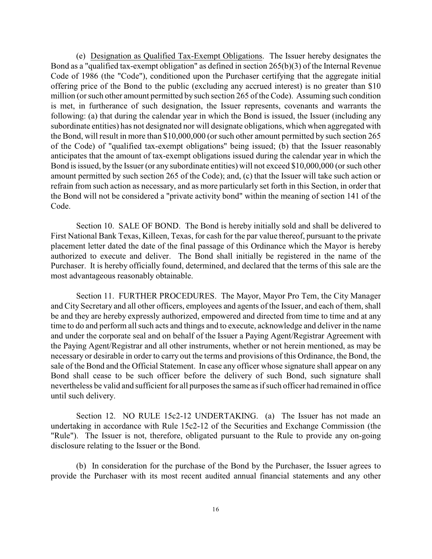(e) Designation as Qualified Tax-Exempt Obligations. The Issuer hereby designates the Bond as a "qualified tax-exempt obligation" as defined in section 265(b)(3) of the Internal Revenue Code of 1986 (the "Code"), conditioned upon the Purchaser certifying that the aggregate initial offering price of the Bond to the public (excluding any accrued interest) is no greater than \$10 million (or such other amount permitted by such section 265 of the Code). Assuming such condition is met, in furtherance of such designation, the Issuer represents, covenants and warrants the following: (a) that during the calendar year in which the Bond is issued, the Issuer (including any subordinate entities) has not designated nor will designate obligations, which when aggregated with the Bond, will result in more than \$10,000,000 (or such other amount permitted by such section 265 of the Code) of "qualified tax-exempt obligations" being issued; (b) that the Issuer reasonably anticipates that the amount of tax-exempt obligations issued during the calendar year in which the Bond is issued, by the Issuer (or any subordinate entities) will not exceed \$10,000,000 (or such other amount permitted by such section 265 of the Code); and, (c) that the Issuer will take such action or refrain from such action as necessary, and as more particularly set forth in this Section, in order that the Bond will not be considered a "private activity bond" within the meaning of section 141 of the Code.

Section 10. SALE OF BOND. The Bond is hereby initially sold and shall be delivered to First National Bank Texas, Killeen, Texas, for cash for the par value thereof, pursuant to the private placement letter dated the date of the final passage of this Ordinance which the Mayor is hereby authorized to execute and deliver. The Bond shall initially be registered in the name of the Purchaser. It is hereby officially found, determined, and declared that the terms of this sale are the most advantageous reasonably obtainable.

Section 11. FURTHER PROCEDURES. The Mayor, Mayor Pro Tem, the City Manager and City Secretary and all other officers, employees and agents of the Issuer, and each of them, shall be and they are hereby expressly authorized, empowered and directed from time to time and at any time to do and perform all such acts and things and to execute, acknowledge and deliver in the name and under the corporate seal and on behalf of the Issuer a Paying Agent/Registrar Agreement with the Paying Agent/Registrar and all other instruments, whether or not herein mentioned, as may be necessary or desirable in order to carry out the terms and provisions of this Ordinance, the Bond, the sale of the Bond and the Official Statement. In case any officer whose signature shall appear on any Bond shall cease to be such officer before the delivery of such Bond, such signature shall nevertheless be valid and sufficient for all purposes the same as if such officer had remained in office until such delivery.

Section 12. NO RULE 15c2-12 UNDERTAKING. (a) The Issuer has not made an undertaking in accordance with Rule 15c2-12 of the Securities and Exchange Commission (the "Rule"). The Issuer is not, therefore, obligated pursuant to the Rule to provide any on-going disclosure relating to the Issuer or the Bond.

(b) In consideration for the purchase of the Bond by the Purchaser, the Issuer agrees to provide the Purchaser with its most recent audited annual financial statements and any other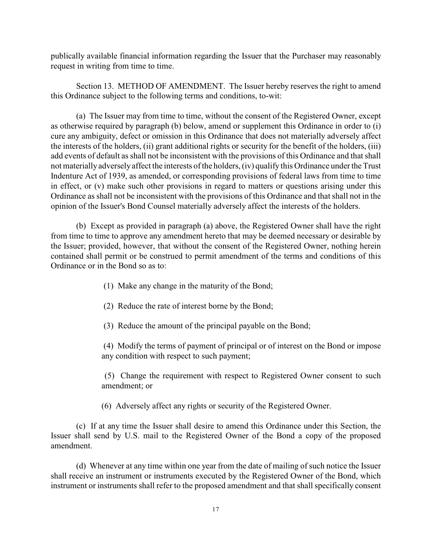publically available financial information regarding the Issuer that the Purchaser may reasonably request in writing from time to time.

Section 13. METHOD OF AMENDMENT. The Issuer hereby reserves the right to amend this Ordinance subject to the following terms and conditions, to-wit:

(a) The Issuer may from time to time, without the consent of the Registered Owner, except as otherwise required by paragraph (b) below, amend or supplement this Ordinance in order to (i) cure any ambiguity, defect or omission in this Ordinance that does not materially adversely affect the interests of the holders, (ii) grant additional rights or security for the benefit of the holders, (iii) add events of default as shall not be inconsistent with the provisions of this Ordinance and that shall not materially adversely affect the interests of the holders, (iv) qualify this Ordinance under the Trust Indenture Act of 1939, as amended, or corresponding provisions of federal laws from time to time in effect, or (v) make such other provisions in regard to matters or questions arising under this Ordinance as shall not be inconsistent with the provisions of this Ordinance and that shall not in the opinion of the Issuer's Bond Counsel materially adversely affect the interests of the holders.

(b) Except as provided in paragraph (a) above, the Registered Owner shall have the right from time to time to approve any amendment hereto that may be deemed necessary or desirable by the Issuer; provided, however, that without the consent of the Registered Owner, nothing herein contained shall permit or be construed to permit amendment of the terms and conditions of this Ordinance or in the Bond so as to:

- (1) Make any change in the maturity of the Bond;
- (2) Reduce the rate of interest borne by the Bond;
- (3) Reduce the amount of the principal payable on the Bond;

 (4) Modify the terms of payment of principal or of interest on the Bond or impose any condition with respect to such payment;

 (5) Change the requirement with respect to Registered Owner consent to such amendment; or

(6) Adversely affect any rights or security of the Registered Owner.

(c) If at any time the Issuer shall desire to amend this Ordinance under this Section, the Issuer shall send by U.S. mail to the Registered Owner of the Bond a copy of the proposed amendment.

(d) Whenever at any time within one year from the date of mailing of such notice the Issuer shall receive an instrument or instruments executed by the Registered Owner of the Bond, which instrument or instruments shall refer to the proposed amendment and that shall specifically consent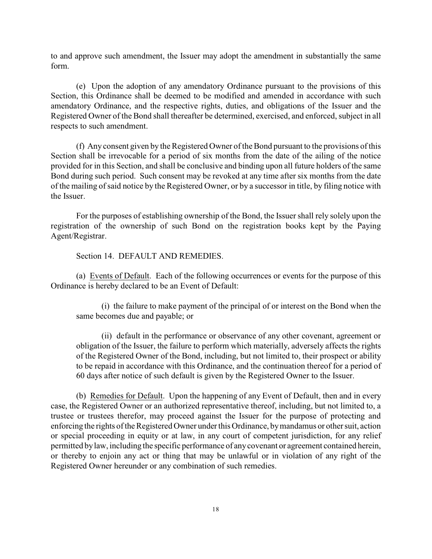to and approve such amendment, the Issuer may adopt the amendment in substantially the same form.

(e) Upon the adoption of any amendatory Ordinance pursuant to the provisions of this Section, this Ordinance shall be deemed to be modified and amended in accordance with such amendatory Ordinance, and the respective rights, duties, and obligations of the Issuer and the Registered Owner of the Bond shall thereafter be determined, exercised, and enforced, subject in all respects to such amendment.

(f) Any consent given by the Registered Owner of the Bond pursuant to the provisions of this Section shall be irrevocable for a period of six months from the date of the ailing of the notice provided for in this Section, and shall be conclusive and binding upon all future holders of the same Bond during such period. Such consent may be revoked at any time after six months from the date of the mailing of said notice by the Registered Owner, or by a successor in title, by filing notice with the Issuer.

For the purposes of establishing ownership of the Bond, the Issuer shall rely solely upon the registration of the ownership of such Bond on the registration books kept by the Paying Agent/Registrar.

Section 14. DEFAULT AND REMEDIES.

(a) Events of Default. Each of the following occurrences or events for the purpose of this Ordinance is hereby declared to be an Event of Default:

(i) the failure to make payment of the principal of or interest on the Bond when the same becomes due and payable; or

(ii) default in the performance or observance of any other covenant, agreement or obligation of the Issuer, the failure to perform which materially, adversely affects the rights of the Registered Owner of the Bond, including, but not limited to, their prospect or ability to be repaid in accordance with this Ordinance, and the continuation thereof for a period of 60 days after notice of such default is given by the Registered Owner to the Issuer.

(b) Remedies for Default. Upon the happening of any Event of Default, then and in every case, the Registered Owner or an authorized representative thereof, including, but not limited to, a trustee or trustees therefor, may proceed against the Issuer for the purpose of protecting and enforcing the rights of the Registered Owner under this Ordinance, by mandamus or other suit, action or special proceeding in equity or at law, in any court of competent jurisdiction, for any relief permitted by law, including the specific performance of any covenant or agreement contained herein, or thereby to enjoin any act or thing that may be unlawful or in violation of any right of the Registered Owner hereunder or any combination of such remedies.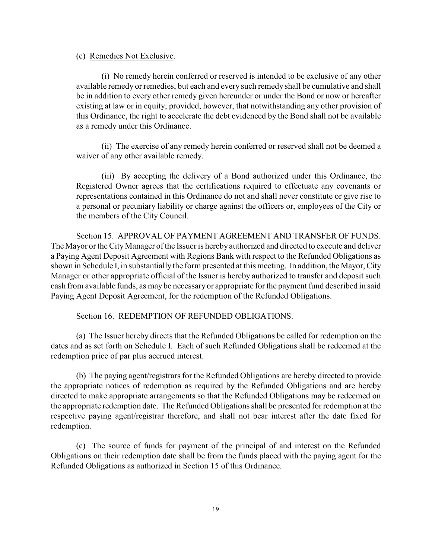#### (c) Remedies Not Exclusive.

(i) No remedy herein conferred or reserved is intended to be exclusive of any other available remedy or remedies, but each and every such remedy shall be cumulative and shall be in addition to every other remedy given hereunder or under the Bond or now or hereafter existing at law or in equity; provided, however, that notwithstanding any other provision of this Ordinance, the right to accelerate the debt evidenced by the Bond shall not be available as a remedy under this Ordinance.

(ii) The exercise of any remedy herein conferred or reserved shall not be deemed a waiver of any other available remedy.

(iii) By accepting the delivery of a Bond authorized under this Ordinance, the Registered Owner agrees that the certifications required to effectuate any covenants or representations contained in this Ordinance do not and shall never constitute or give rise to a personal or pecuniary liability or charge against the officers or, employees of the City or the members of the City Council.

Section 15. APPROVAL OF PAYMENT AGREEMENT AND TRANSFER OF FUNDS. The Mayor or the City Manager of the Issuer is hereby authorized and directed to execute and deliver a Paying Agent Deposit Agreement with Regions Bank with respect to the Refunded Obligations as shown in Schedule I, in substantially the form presented at this meeting. In addition, the Mayor, City Manager or other appropriate official of the Issuer is hereby authorized to transfer and deposit such cash from available funds, as may be necessary or appropriate for the payment fund described in said Paying Agent Deposit Agreement, for the redemption of the Refunded Obligations.

Section 16. REDEMPTION OF REFUNDED OBLIGATIONS.

(a) The Issuer hereby directs that the Refunded Obligations be called for redemption on the dates and as set forth on Schedule I. Each of such Refunded Obligations shall be redeemed at the redemption price of par plus accrued interest.

(b) The paying agent/registrars for the Refunded Obligations are hereby directed to provide the appropriate notices of redemption as required by the Refunded Obligations and are hereby directed to make appropriate arrangements so that the Refunded Obligations may be redeemed on the appropriate redemption date. The Refunded Obligations shall be presented for redemption at the respective paying agent/registrar therefore, and shall not bear interest after the date fixed for redemption.

(c) The source of funds for payment of the principal of and interest on the Refunded Obligations on their redemption date shall be from the funds placed with the paying agent for the Refunded Obligations as authorized in Section 15 of this Ordinance.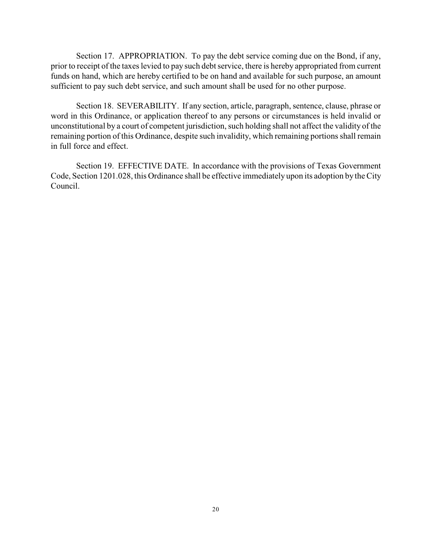Section 17. APPROPRIATION. To pay the debt service coming due on the Bond, if any, prior to receipt of the taxes levied to pay such debt service, there is hereby appropriated from current funds on hand, which are hereby certified to be on hand and available for such purpose, an amount sufficient to pay such debt service, and such amount shall be used for no other purpose.

Section 18. SEVERABILITY. If any section, article, paragraph, sentence, clause, phrase or word in this Ordinance, or application thereof to any persons or circumstances is held invalid or unconstitutional by a court of competent jurisdiction, such holding shall not affect the validity of the remaining portion of this Ordinance, despite such invalidity, which remaining portions shall remain in full force and effect.

Section 19. EFFECTIVE DATE. In accordance with the provisions of Texas Government Code, Section 1201.028, this Ordinance shall be effective immediately upon its adoption by the City Council.